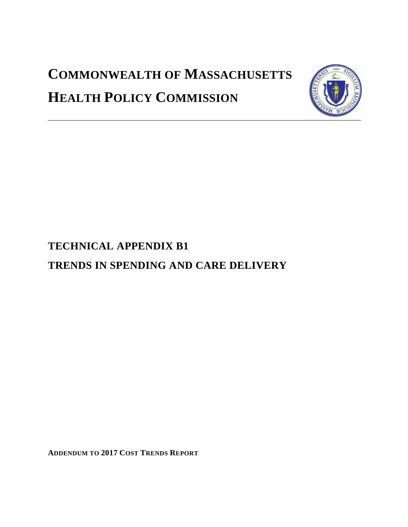# **COMMONWEALTH OF MASSACHUSETTS HEALTH POLICY COMMISSION**



# **TECHNICAL APPENDIX B1**

# **TRENDS IN SPENDING AND CARE DELIVERY**

**ADDENDUM TO 2017 COST TRENDS REPORT**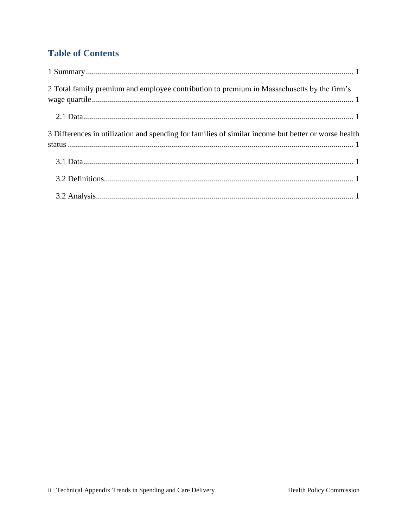# **Table of Contents**

| 2 Total family premium and employee contribution to premium in Massachusetts by the firm's          |
|-----------------------------------------------------------------------------------------------------|
|                                                                                                     |
| 3 Differences in utilization and spending for families of similar income but better or worse health |
|                                                                                                     |
|                                                                                                     |
|                                                                                                     |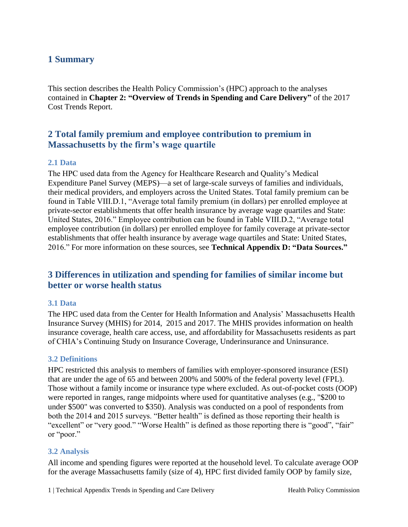### <span id="page-2-0"></span>**1 Summary**

This section describes the Health Policy Commission's (HPC) approach to the analyses contained in **Chapter 2: "Overview of Trends in Spending and Care Delivery"** of the 2017 Cost Trends Report.

### <span id="page-2-1"></span>**2 Total family premium and employee contribution to premium in Massachusetts by the firm's wage quartile**

#### <span id="page-2-2"></span>**2.1 Data**

The HPC used data from the Agency for Healthcare Research and Quality's Medical Expenditure Panel Survey (MEPS)—a set of large-scale surveys of families and individuals, their medical providers, and employers across the United States. Total family premium can be found in Table VIII.D.1, "Average total family premium (in dollars) per enrolled employee at private-sector establishments that offer health insurance by average wage quartiles and State: United States, 2016." Employee contribution can be found in Table VIII.D.2, "Average total employee contribution (in dollars) per enrolled employee for family coverage at private-sector establishments that offer health insurance by average wage quartiles and State: United States, 2016." For more information on these sources, see **Technical Appendix D: "Data Sources."**

## <span id="page-2-3"></span>**3 Differences in utilization and spending for families of similar income but better or worse health status**

#### <span id="page-2-4"></span>**3.1 Data**

The HPC used data from the Center for Health Information and Analysis' Massachusetts Health Insurance Survey (MHIS) for 2014, 2015 and 2017. The MHIS provides information on health insurance coverage, health care access, use, and affordability for Massachusetts residents as part of CHIA's Continuing Study on Insurance Coverage, Underinsurance and Uninsurance.

#### <span id="page-2-5"></span>**3.2 Definitions**

HPC restricted this analysis to members of families with employer-sponsored insurance (ESI) that are under the age of 65 and between 200% and 500% of the federal poverty level (FPL). Those without a family income or insurance type where excluded. As out-of-pocket costs (OOP) were reported in ranges, range midpoints where used for quantitative analyses (e.g., "\$200 to under \$500" was converted to \$350). Analysis was conducted on a pool of respondents from both the 2014 and 2015 surveys. "Better health" is defined as those reporting their health is "excellent" or "very good." "Worse Health" is defined as those reporting there is "good", "fair" or "poor."

#### <span id="page-2-6"></span>**3.2 Analysis**

All income and spending figures were reported at the household level. To calculate average OOP for the average Massachusetts family (size of 4), HPC first divided family OOP by family size,